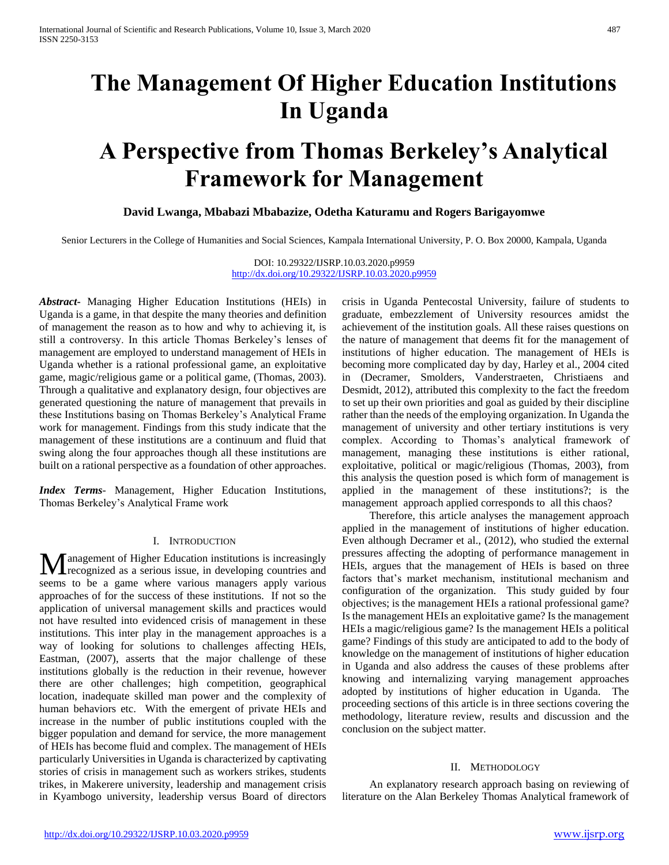# **The Management Of Higher Education Institutions In Uganda**

# **A Perspective from Thomas Berkeley's Analytical Framework for Management**

**David Lwanga, Mbabazi Mbabazize, Odetha Katuramu and Rogers Barigayomwe** 

Senior Lecturers in the College of Humanities and Social Sciences, Kampala International University, P. O. Box 20000, Kampala, Uganda

DOI: 10.29322/IJSRP.10.03.2020.p9959 <http://dx.doi.org/10.29322/IJSRP.10.03.2020.p9959>

*Abstract***-** Managing Higher Education Institutions (HEIs) in Uganda is a game, in that despite the many theories and definition of management the reason as to how and why to achieving it, is still a controversy. In this article Thomas Berkeley's lenses of management are employed to understand management of HEIs in Uganda whether is a rational professional game, an exploitative game, magic/religious game or a political game, (Thomas, 2003). Through a qualitative and explanatory design, four objectives are generated questioning the nature of management that prevails in these Institutions basing on Thomas Berkeley's Analytical Frame work for management. Findings from this study indicate that the management of these institutions are a continuum and fluid that swing along the four approaches though all these institutions are built on a rational perspective as a foundation of other approaches.

*Index Terms*- Management, Higher Education Institutions, Thomas Berkeley's Analytical Frame work

#### I. INTRODUCTION

anagement of Higher Education institutions is increasingly recognized as a serious issue, in developing countries and **M** anagement of Higher Education institutions is increasingly recognized as a serious issue, in developing countries and seems to be a game where various managers apply various approaches of for the success of these institutions. If not so the application of universal management skills and practices would not have resulted into evidenced crisis of management in these institutions. This inter play in the management approaches is a way of looking for solutions to challenges affecting HEIs, Eastman, (2007), asserts that the major challenge of these institutions globally is the reduction in their revenue, however there are other challenges; high competition, geographical location, inadequate skilled man power and the complexity of human behaviors etc. With the emergent of private HEIs and increase in the number of public institutions coupled with the bigger population and demand for service, the more management of HEIs has become fluid and complex. The management of HEIs particularly Universities in Uganda is characterized by captivating stories of crisis in management such as workers strikes, students trikes, in Makerere university, leadership and management crisis in Kyambogo university, leadership versus Board of directors

crisis in Uganda Pentecostal University, failure of students to graduate, embezzlement of University resources amidst the achievement of the institution goals. All these raises questions on the nature of management that deems fit for the management of institutions of higher education. The management of HEIs is becoming more complicated day by day, Harley et al., 2004 cited in (Decramer, Smolders, Vanderstraeten, Christiaens and Desmidt, 2012), attributed this complexity to the fact the freedom to set up their own priorities and goal as guided by their discipline rather than the needs of the employing organization. In Uganda the management of university and other tertiary institutions is very complex. According to Thomas's analytical framework of management, managing these institutions is either rational, exploitative, political or magic/religious (Thomas, 2003), from this analysis the question posed is which form of management is applied in the management of these institutions?; is the management approach applied corresponds to all this chaos?

 Therefore, this article analyses the management approach applied in the management of institutions of higher education. Even although Decramer et al., (2012), who studied the external pressures affecting the adopting of performance management in HEIs, argues that the management of HEIs is based on three factors that's market mechanism, institutional mechanism and configuration of the organization. This study guided by four objectives; is the management HEIs a rational professional game? Is the management HEIs an exploitative game? Is the management HEIs a magic/religious game? Is the management HEIs a political game? Findings of this study are anticipated to add to the body of knowledge on the management of institutions of higher education in Uganda and also address the causes of these problems after knowing and internalizing varying management approaches adopted by institutions of higher education in Uganda. The proceeding sections of this article is in three sections covering the methodology, literature review, results and discussion and the conclusion on the subject matter.

#### II. METHODOLOGY

 An explanatory research approach basing on reviewing of literature on the Alan Berkeley Thomas Analytical framework of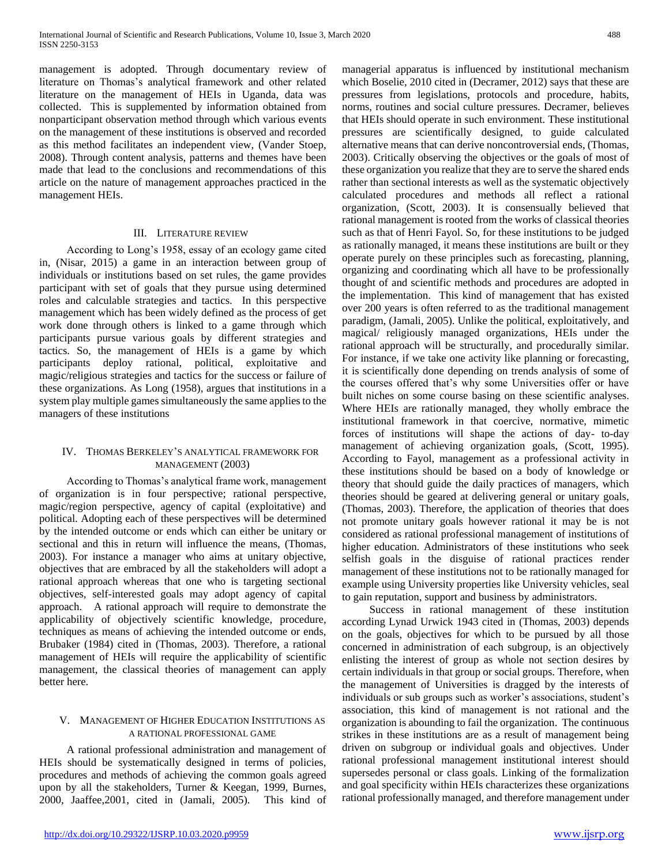management is adopted. Through documentary review of literature on Thomas's analytical framework and other related literature on the management of HEIs in Uganda, data was collected. This is supplemented by information obtained from nonparticipant observation method through which various events on the management of these institutions is observed and recorded as this method facilitates an independent view, (Vander Stoep, 2008). Through content analysis, patterns and themes have been made that lead to the conclusions and recommendations of this article on the nature of management approaches practiced in the management HEIs.

#### III. LITERATURE REVIEW

 According to Long's 1958, essay of an ecology game cited in, (Nisar, 2015) a game in an interaction between group of individuals or institutions based on set rules, the game provides participant with set of goals that they pursue using determined roles and calculable strategies and tactics. In this perspective management which has been widely defined as the process of get work done through others is linked to a game through which participants pursue various goals by different strategies and tactics. So, the management of HEIs is a game by which participants deploy rational, political, exploitative and magic/religious strategies and tactics for the success or failure of these organizations. As Long (1958), argues that institutions in a system play multiple games simultaneously the same applies to the managers of these institutions

## IV. THOMAS BERKELEY'S ANALYTICAL FRAMEWORK FOR MANAGEMENT (2003)

 According to Thomas's analytical frame work, management of organization is in four perspective; rational perspective, magic/region perspective, agency of capital (exploitative) and political. Adopting each of these perspectives will be determined by the intended outcome or ends which can either be unitary or sectional and this in return will influence the means, (Thomas, 2003). For instance a manager who aims at unitary objective, objectives that are embraced by all the stakeholders will adopt a rational approach whereas that one who is targeting sectional objectives, self-interested goals may adopt agency of capital approach. A rational approach will require to demonstrate the applicability of objectively scientific knowledge, procedure, techniques as means of achieving the intended outcome or ends, Brubaker (1984) cited in (Thomas, 2003). Therefore, a rational management of HEIs will require the applicability of scientific management, the classical theories of management can apply better here.

### V. MANAGEMENT OF HIGHER EDUCATION INSTITUTIONS AS A RATIONAL PROFESSIONAL GAME

 A rational professional administration and management of HEIs should be systematically designed in terms of policies, procedures and methods of achieving the common goals agreed upon by all the stakeholders, Turner & Keegan, 1999, Burnes, 2000, Jaaffee,2001, cited in (Jamali, 2005). This kind of

managerial apparatus is influenced by institutional mechanism which Boselie, 2010 cited in (Decramer, 2012) says that these are pressures from legislations, protocols and procedure, habits, norms, routines and social culture pressures. Decramer, believes that HEIs should operate in such environment. These institutional pressures are scientifically designed, to guide calculated alternative means that can derive noncontroversial ends, (Thomas, 2003). Critically observing the objectives or the goals of most of these organization you realize that they are to serve the shared ends rather than sectional interests as well as the systematic objectively calculated procedures and methods all reflect a rational organization, (Scott, 2003). It is consensually believed that rational management is rooted from the works of classical theories such as that of Henri Fayol. So, for these institutions to be judged as rationally managed, it means these institutions are built or they operate purely on these principles such as forecasting, planning, organizing and coordinating which all have to be professionally thought of and scientific methods and procedures are adopted in the implementation. This kind of management that has existed over 200 years is often referred to as the traditional management paradigm, (Jamali, 2005). Unlike the political, exploitatively, and magical/ religiously managed organizations, HEIs under the rational approach will be structurally, and procedurally similar. For instance, if we take one activity like planning or forecasting, it is scientifically done depending on trends analysis of some of the courses offered that's why some Universities offer or have built niches on some course basing on these scientific analyses. Where HEIs are rationally managed, they wholly embrace the institutional framework in that coercive, normative, mimetic forces of institutions will shape the actions of day- to-day management of achieving organization goals, (Scott, 1995). According to Fayol, management as a professional activity in these institutions should be based on a body of knowledge or theory that should guide the daily practices of managers, which theories should be geared at delivering general or unitary goals, (Thomas, 2003). Therefore, the application of theories that does not promote unitary goals however rational it may be is not considered as rational professional management of institutions of higher education. Administrators of these institutions who seek selfish goals in the disguise of rational practices render management of these institutions not to be rationally managed for example using University properties like University vehicles, seal to gain reputation, support and business by administrators.

 Success in rational management of these institution according Lynad Urwick 1943 cited in (Thomas, 2003) depends on the goals, objectives for which to be pursued by all those concerned in administration of each subgroup, is an objectively enlisting the interest of group as whole not section desires by certain individuals in that group or social groups. Therefore, when the management of Universities is dragged by the interests of individuals or sub groups such as worker's associations, student's association, this kind of management is not rational and the organization is abounding to fail the organization. The continuous strikes in these institutions are as a result of management being driven on subgroup or individual goals and objectives. Under rational professional management institutional interest should supersedes personal or class goals. Linking of the formalization and goal specificity within HEIs characterizes these organizations rational professionally managed, and therefore management under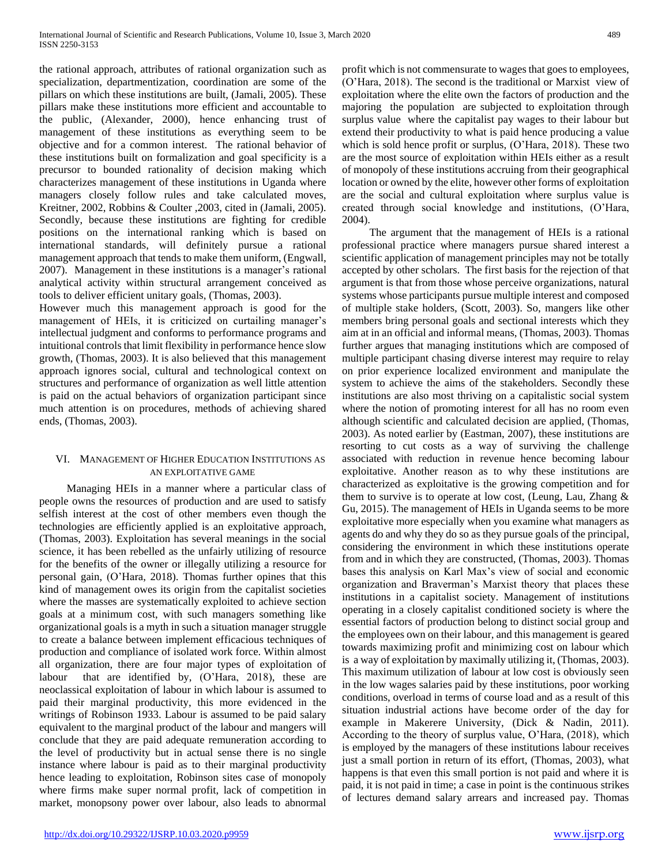the rational approach, attributes of rational organization such as specialization, departmentization, coordination are some of the pillars on which these institutions are built, (Jamali, 2005). These pillars make these institutions more efficient and accountable to the public, (Alexander, 2000), hence enhancing trust of management of these institutions as everything seem to be objective and for a common interest. The rational behavior of these institutions built on formalization and goal specificity is a precursor to bounded rationality of decision making which characterizes management of these institutions in Uganda where managers closely follow rules and take calculated moves, Kreitner, 2002, Robbins & Coulter ,2003, cited in (Jamali, 2005). Secondly, because these institutions are fighting for credible positions on the international ranking which is based on international standards, will definitely pursue a rational management approach that tends to make them uniform, (Engwall, 2007). Management in these institutions is a manager's rational analytical activity within structural arrangement conceived as tools to deliver efficient unitary goals, (Thomas, 2003).

However much this management approach is good for the management of HEIs, it is criticized on curtailing manager's intellectual judgment and conforms to performance programs and intuitional controls that limit flexibility in performance hence slow growth, (Thomas, 2003). It is also believed that this management approach ignores social, cultural and technological context on structures and performance of organization as well little attention is paid on the actual behaviors of organization participant since much attention is on procedures, methods of achieving shared ends, (Thomas, 2003).

## VI. MANAGEMENT OF HIGHER EDUCATION INSTITUTIONS AS AN EXPLOITATIVE GAME

 Managing HEIs in a manner where a particular class of people owns the resources of production and are used to satisfy selfish interest at the cost of other members even though the technologies are efficiently applied is an exploitative approach, (Thomas, 2003). Exploitation has several meanings in the social science, it has been rebelled as the unfairly utilizing of resource for the benefits of the owner or illegally utilizing a resource for personal gain, (O'Hara, 2018). Thomas further opines that this kind of management owes its origin from the capitalist societies where the masses are systematically exploited to achieve section goals at a minimum cost, with such managers something like organizational goals is a myth in such a situation manager struggle to create a balance between implement efficacious techniques of production and compliance of isolated work force. Within almost all organization, there are four major types of exploitation of labour that are identified by, (O'Hara, 2018), these are neoclassical exploitation of labour in which labour is assumed to paid their marginal productivity, this more evidenced in the writings of Robinson 1933. Labour is assumed to be paid salary equivalent to the marginal product of the labour and mangers will conclude that they are paid adequate remuneration according to the level of productivity but in actual sense there is no single instance where labour is paid as to their marginal productivity hence leading to exploitation, Robinson sites case of monopoly where firms make super normal profit, lack of competition in market, monopsony power over labour, also leads to abnormal

profit which is not commensurate to wages that goes to employees, (O'Hara, 2018). The second is the traditional or Marxist view of exploitation where the elite own the factors of production and the majoring the population are subjected to exploitation through surplus value where the capitalist pay wages to their labour but extend their productivity to what is paid hence producing a value which is sold hence profit or surplus, (O'Hara, 2018). These two are the most source of exploitation within HEIs either as a result of monopoly of these institutions accruing from their geographical location or owned by the elite, however other forms of exploitation are the social and cultural exploitation where surplus value is created through social knowledge and institutions, (O'Hara, 2004).

 The argument that the management of HEIs is a rational professional practice where managers pursue shared interest a scientific application of management principles may not be totally accepted by other scholars. The first basis for the rejection of that argument is that from those whose perceive organizations, natural systems whose participants pursue multiple interest and composed of multiple stake holders, (Scott, 2003). So, mangers like other members bring personal goals and sectional interests which they aim at in an official and informal means, (Thomas, 2003). Thomas further argues that managing institutions which are composed of multiple participant chasing diverse interest may require to relay on prior experience localized environment and manipulate the system to achieve the aims of the stakeholders. Secondly these institutions are also most thriving on a capitalistic social system where the notion of promoting interest for all has no room even although scientific and calculated decision are applied, (Thomas, 2003). As noted earlier by (Eastman, 2007), these institutions are resorting to cut costs as a way of surviving the challenge associated with reduction in revenue hence becoming labour exploitative. Another reason as to why these institutions are characterized as exploitative is the growing competition and for them to survive is to operate at low cost, (Leung, Lau, Zhang & Gu, 2015). The management of HEIs in Uganda seems to be more exploitative more especially when you examine what managers as agents do and why they do so as they pursue goals of the principal, considering the environment in which these institutions operate from and in which they are constructed, (Thomas, 2003). Thomas bases this analysis on Karl Max's view of social and economic organization and Braverman's Marxist theory that places these institutions in a capitalist society. Management of institutions operating in a closely capitalist conditioned society is where the essential factors of production belong to distinct social group and the employees own on their labour, and this management is geared towards maximizing profit and minimizing cost on labour which is a way of exploitation by maximally utilizing it, (Thomas, 2003). This maximum utilization of labour at low cost is obviously seen in the low wages salaries paid by these institutions, poor working conditions, overload in terms of course load and as a result of this situation industrial actions have become order of the day for example in Makerere University, (Dick & Nadin, 2011). According to the theory of surplus value, O'Hara, (2018), which is employed by the managers of these institutions labour receives just a small portion in return of its effort, (Thomas, 2003), what happens is that even this small portion is not paid and where it is paid, it is not paid in time; a case in point is the continuous strikes of lectures demand salary arrears and increased pay. Thomas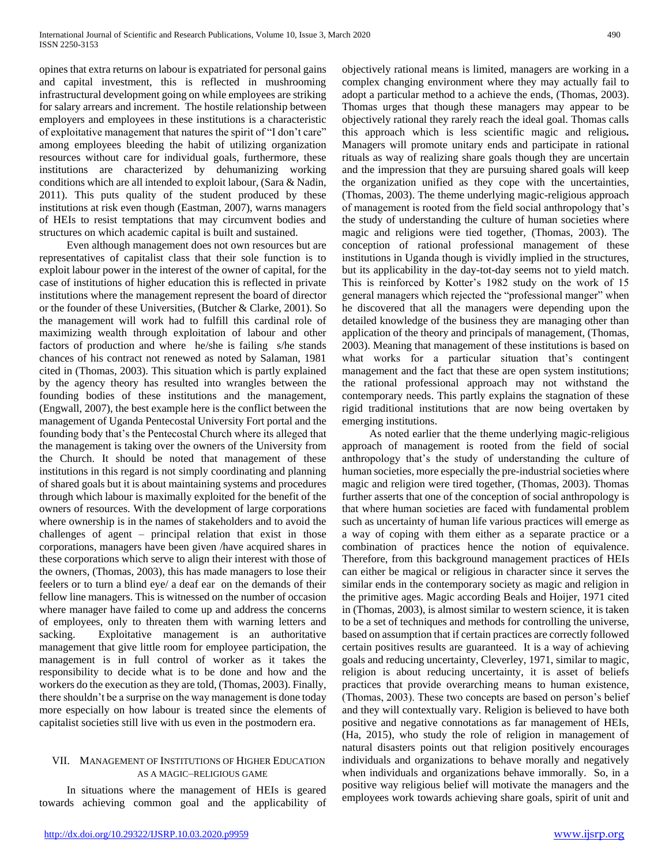opines that extra returns on labour is expatriated for personal gains and capital investment, this is reflected in mushrooming infrastructural development going on while employees are striking for salary arrears and increment. The hostile relationship between employers and employees in these institutions is a characteristic of exploitative management that natures the spirit of "I don't care" among employees bleeding the habit of utilizing organization resources without care for individual goals, furthermore, these institutions are characterized by dehumanizing working conditions which are all intended to exploit labour, (Sara & Nadin, 2011). This puts quality of the student produced by these institutions at risk even though (Eastman, 2007), warns managers of HEIs to resist temptations that may circumvent bodies and structures on which academic capital is built and sustained.

 Even although management does not own resources but are representatives of capitalist class that their sole function is to exploit labour power in the interest of the owner of capital, for the case of institutions of higher education this is reflected in private institutions where the management represent the board of director or the founder of these Universities, (Butcher & Clarke, 2001). So the management will work had to fulfill this cardinal role of maximizing wealth through exploitation of labour and other factors of production and where he/she is failing s/he stands chances of his contract not renewed as noted by Salaman, 1981 cited in (Thomas, 2003). This situation which is partly explained by the agency theory has resulted into wrangles between the founding bodies of these institutions and the management, (Engwall, 2007), the best example here is the conflict between the management of Uganda Pentecostal University Fort portal and the founding body that's the Pentecostal Church where its alleged that the management is taking over the owners of the University from the Church. It should be noted that management of these institutions in this regard is not simply coordinating and planning of shared goals but it is about maintaining systems and procedures through which labour is maximally exploited for the benefit of the owners of resources. With the development of large corporations where ownership is in the names of stakeholders and to avoid the challenges of agent – principal relation that exist in those corporations, managers have been given /have acquired shares in these corporations which serve to align their interest with those of the owners, (Thomas, 2003), this has made managers to lose their feelers or to turn a blind eye/ a deaf ear on the demands of their fellow line managers. This is witnessed on the number of occasion where manager have failed to come up and address the concerns of employees, only to threaten them with warning letters and sacking. Exploitative management is an authoritative management that give little room for employee participation, the management is in full control of worker as it takes the responsibility to decide what is to be done and how and the workers do the execution as they are told, (Thomas, 2003). Finally, there shouldn't be a surprise on the way management is done today more especially on how labour is treated since the elements of capitalist societies still live with us even in the postmodern era.

#### VII. MANAGEMENT OF INSTITUTIONS OF HIGHER EDUCATION AS A MAGIC–RELIGIOUS GAME

 In situations where the management of HEIs is geared towards achieving common goal and the applicability of objectively rational means is limited, managers are working in a complex changing environment where they may actually fail to adopt a particular method to a achieve the ends, (Thomas, 2003). Thomas urges that though these managers may appear to be objectively rational they rarely reach the ideal goal. Thomas calls this approach which is less scientific magic and religious*.*  Managers will promote unitary ends and participate in rational rituals as way of realizing share goals though they are uncertain and the impression that they are pursuing shared goals will keep the organization unified as they cope with the uncertainties, (Thomas, 2003). The theme underlying magic-religious approach of management is rooted from the field social anthropology that's the study of understanding the culture of human societies where magic and religions were tied together, (Thomas, 2003). The conception of rational professional management of these institutions in Uganda though is vividly implied in the structures, but its applicability in the day-tot-day seems not to yield match. This is reinforced by Kotter's 1982 study on the work of 15 general managers which rejected the "professional manger" when he discovered that all the managers were depending upon the detailed knowledge of the business they are managing other than application of the theory and principals of management, (Thomas, 2003). Meaning that management of these institutions is based on what works for a particular situation that's contingent management and the fact that these are open system institutions; the rational professional approach may not withstand the contemporary needs. This partly explains the stagnation of these rigid traditional institutions that are now being overtaken by emerging institutions.

 As noted earlier that the theme underlying magic-religious approach of management is rooted from the field of social anthropology that's the study of understanding the culture of human societies, more especially the pre-industrial societies where magic and religion were tired together, (Thomas, 2003). Thomas further asserts that one of the conception of social anthropology is that where human societies are faced with fundamental problem such as uncertainty of human life various practices will emerge as a way of coping with them either as a separate practice or a combination of practices hence the notion of equivalence. Therefore, from this background management practices of HEIs can either be magical or religious in character since it serves the similar ends in the contemporary society as magic and religion in the primitive ages. Magic according Beals and Hoijer, 1971 cited in (Thomas, 2003), is almost similar to western science, it is taken to be a set of techniques and methods for controlling the universe, based on assumption that if certain practices are correctly followed certain positives results are guaranteed. It is a way of achieving goals and reducing uncertainty, Cleverley, 1971, similar to magic, religion is about reducing uncertainty, it is asset of beliefs practices that provide overarching means to human existence, (Thomas, 2003). These two concepts are based on person's belief and they will contextually vary. Religion is believed to have both positive and negative connotations as far management of HEIs, (Ha, 2015), who study the role of religion in management of natural disasters points out that religion positively encourages individuals and organizations to behave morally and negatively when individuals and organizations behave immorally. So, in a positive way religious belief will motivate the managers and the employees work towards achieving share goals, spirit of unit and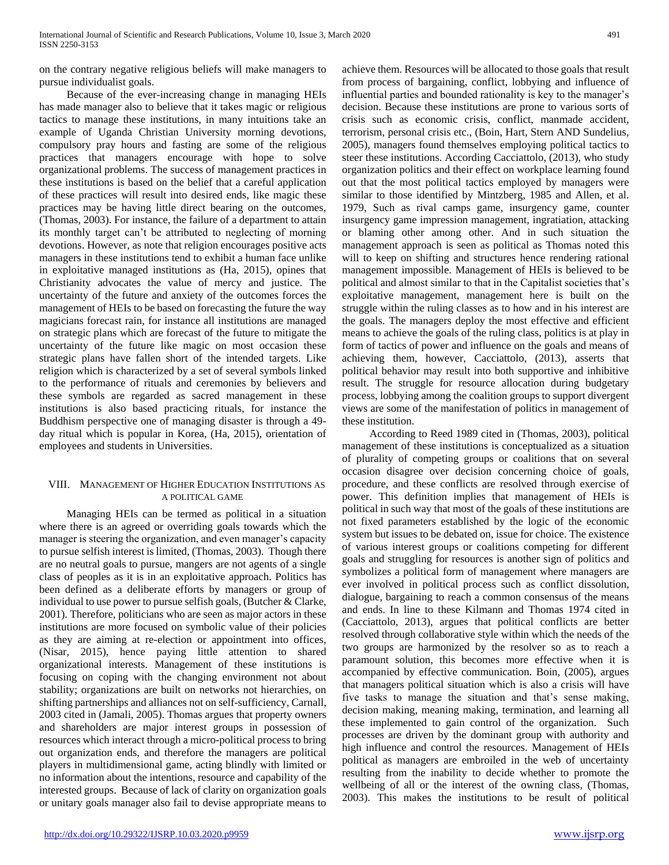on the contrary negative religious beliefs will make managers to pursue individualist goals.

 Because of the ever-increasing change in managing HEIs has made manager also to believe that it takes magic or religious tactics to manage these institutions, in many intuitions take an example of Uganda Christian University morning devotions, compulsory pray hours and fasting are some of the religious practices that managers encourage with hope to solve organizational problems. The success of management practices in these institutions is based on the belief that a careful application of these practices will result into desired ends, like magic these practices may be having little direct bearing on the outcomes, (Thomas, 2003). For instance, the failure of a department to attain its monthly target can't be attributed to neglecting of morning devotions. However, as note that religion encourages positive acts managers in these institutions tend to exhibit a human face unlike in exploitative managed institutions as (Ha, 2015), opines that Christianity advocates the value of mercy and justice. The uncertainty of the future and anxiety of the outcomes forces the management of HEIs to be based on forecasting the future the way magicians forecast rain, for instance all institutions are managed on strategic plans which are forecast of the future to mitigate the uncertainty of the future like magic on most occasion these strategic plans have fallen short of the intended targets. Like religion which is characterized by a set of several symbols linked to the performance of rituals and ceremonies by believers and these symbols are regarded as sacred management in these institutions is also based practicing rituals, for instance the Buddhism perspective one of managing disaster is through a 49 day ritual which is popular in Korea, (Ha, 2015), orientation of employees and students in Universities.

## VIII. MANAGEMENT OF HIGHER EDUCATION INSTITUTIONS AS A POLITICAL GAME

 Managing HEIs can be termed as political in a situation where there is an agreed or overriding goals towards which the manager is steering the organization, and even manager's capacity to pursue selfish interest is limited, (Thomas, 2003). Though there are no neutral goals to pursue, mangers are not agents of a single class of peoples as it is in an exploitative approach. Politics has been defined as a deliberate efforts by managers or group of individual to use power to pursue selfish goals, (Butcher & Clarke, 2001). Therefore, politicians who are seen as major actors in these institutions are more focused on symbolic value of their policies as they are aiming at re-election or appointment into offices, (Nisar, 2015), hence paying little attention to shared organizational interests. Management of these institutions is focusing on coping with the changing environment not about stability; organizations are built on networks not hierarchies, on shifting partnerships and alliances not on self-sufficiency, Carnall, 2003 cited in (Jamali, 2005). Thomas argues that property owners and shareholders are major interest groups in possession of resources which interact through a micro-political process to bring out organization ends, and therefore the managers are political players in multidimensional game, acting blindly with limited or no information about the intentions, resource and capability of the interested groups. Because of lack of clarity on organization goals or unitary goals manager also fail to devise appropriate means to

achieve them. Resources will be allocated to those goals that result from process of bargaining, conflict, lobbying and influence of influential parties and bounded rationality is key to the manager's decision. Because these institutions are prone to various sorts of crisis such as economic crisis, conflict, manmade accident, terrorism, personal crisis etc., (Boin, Hart, Stern AND Sundelius, 2005), managers found themselves employing political tactics to steer these institutions. According Cacciattolo, (2013), who study organization politics and their effect on workplace learning found out that the most political tactics employed by managers were similar to those identified by Mintzberg, 1985 and Allen, et al. 1979, Such as rival camps game, insurgency game, counter insurgency game impression management, ingratiation, attacking or blaming other among other. And in such situation the management approach is seen as political as Thomas noted this will to keep on shifting and structures hence rendering rational management impossible. Management of HEIs is believed to be political and almost similar to that in the Capitalist societies that's exploitative management, management here is built on the struggle within the ruling classes as to how and in his interest are the goals. The managers deploy the most effective and efficient means to achieve the goals of the ruling class, politics is at play in form of tactics of power and influence on the goals and means of achieving them, however, Cacciattolo, (2013), asserts that political behavior may result into both supportive and inhibitive result. The struggle for resource allocation during budgetary process, lobbying among the coalition groups to support divergent views are some of the manifestation of politics in management of these institution.

 According to Reed 1989 cited in (Thomas, 2003), political management of these institutions is conceptualized as a situation of plurality of competing groups or coalitions that on several occasion disagree over decision concerning choice of goals, procedure, and these conflicts are resolved through exercise of power. This definition implies that management of HEIs is political in such way that most of the goals of these institutions are not fixed parameters established by the logic of the economic system but issues to be debated on, issue for choice. The existence of various interest groups or coalitions competing for different goals and struggling for resources is another sign of politics and symbolizes a political form of management where managers are ever involved in political process such as conflict dissolution, dialogue, bargaining to reach a common consensus of the means and ends. In line to these Kilmann and Thomas 1974 cited in (Cacciattolo, 2013), argues that political conflicts are better resolved through collaborative style within which the needs of the two groups are harmonized by the resolver so as to reach a paramount solution, this becomes more effective when it is accompanied by effective communication. Boin, (2005), argues that managers political situation which is also a crisis will have five tasks to manage the situation and that's sense making, decision making, meaning making, termination, and learning all these implemented to gain control of the organization. Such processes are driven by the dominant group with authority and high influence and control the resources. Management of HEIs political as managers are embroiled in the web of uncertainty resulting from the inability to decide whether to promote the wellbeing of all or the interest of the owning class, (Thomas, 2003). This makes the institutions to be result of political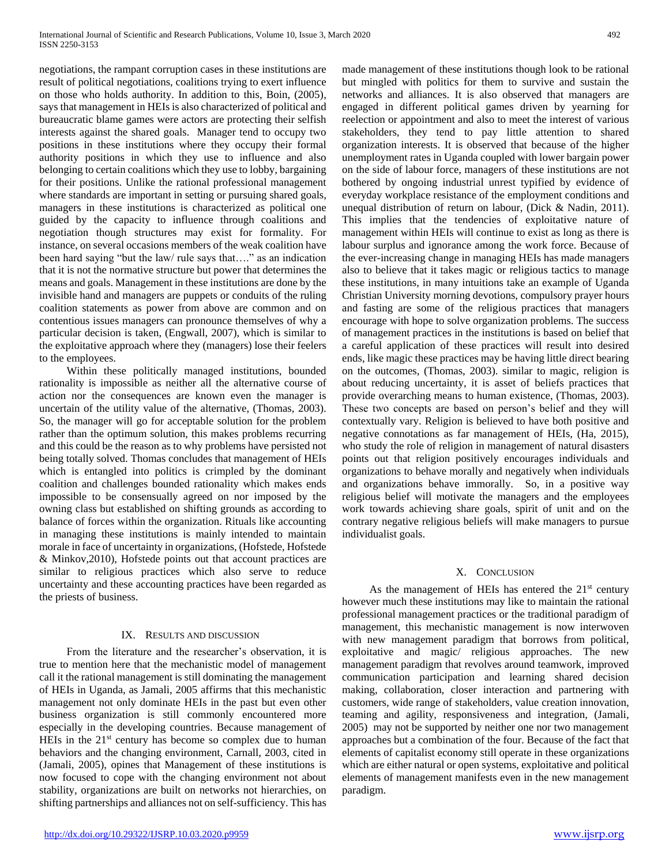negotiations, the rampant corruption cases in these institutions are result of political negotiations, coalitions trying to exert influence on those who holds authority. In addition to this, Boin, (2005), says that management in HEIs is also characterized of political and bureaucratic blame games were actors are protecting their selfish interests against the shared goals. Manager tend to occupy two positions in these institutions where they occupy their formal authority positions in which they use to influence and also belonging to certain coalitions which they use to lobby, bargaining for their positions. Unlike the rational professional management where standards are important in setting or pursuing shared goals, managers in these institutions is characterized as political one guided by the capacity to influence through coalitions and negotiation though structures may exist for formality. For instance, on several occasions members of the weak coalition have been hard saying "but the law/ rule says that…." as an indication that it is not the normative structure but power that determines the means and goals. Management in these institutions are done by the invisible hand and managers are puppets or conduits of the ruling coalition statements as power from above are common and on contentious issues managers can pronounce themselves of why a particular decision is taken, (Engwall, 2007), which is similar to the exploitative approach where they (managers) lose their feelers to the employees.

 Within these politically managed institutions, bounded rationality is impossible as neither all the alternative course of action nor the consequences are known even the manager is uncertain of the utility value of the alternative, (Thomas, 2003). So, the manager will go for acceptable solution for the problem rather than the optimum solution, this makes problems recurring and this could be the reason as to why problems have persisted not being totally solved. Thomas concludes that management of HEIs which is entangled into politics is crimpled by the dominant coalition and challenges bounded rationality which makes ends impossible to be consensually agreed on nor imposed by the owning class but established on shifting grounds as according to balance of forces within the organization. Rituals like accounting in managing these institutions is mainly intended to maintain morale in face of uncertainty in organizations, (Hofstede, Hofstede & Minkov,2010), Hofstede points out that account practices are similar to religious practices which also serve to reduce uncertainty and these accounting practices have been regarded as the priests of business.

# IX. RESULTS AND DISCUSSION

 From the literature and the researcher's observation, it is true to mention here that the mechanistic model of management call it the rational management is still dominating the management of HEIs in Uganda, as Jamali, 2005 affirms that this mechanistic management not only dominate HEIs in the past but even other business organization is still commonly encountered more especially in the developing countries. Because management of HEIs in the  $21<sup>st</sup>$  century has become so complex due to human behaviors and the changing environment, Carnall, 2003, cited in (Jamali, 2005), opines that Management of these institutions is now focused to cope with the changing environment not about stability, organizations are built on networks not hierarchies, on shifting partnerships and alliances not on self-sufficiency. This has

made management of these institutions though look to be rational but mingled with politics for them to survive and sustain the networks and alliances. It is also observed that managers are engaged in different political games driven by yearning for reelection or appointment and also to meet the interest of various stakeholders, they tend to pay little attention to shared organization interests. It is observed that because of the higher unemployment rates in Uganda coupled with lower bargain power on the side of labour force, managers of these institutions are not bothered by ongoing industrial unrest typified by evidence of everyday workplace resistance of the employment conditions and unequal distribution of return on labour, (Dick & Nadin, 2011). This implies that the tendencies of exploitative nature of management within HEIs will continue to exist as long as there is labour surplus and ignorance among the work force. Because of the ever-increasing change in managing HEIs has made managers also to believe that it takes magic or religious tactics to manage these institutions, in many intuitions take an example of Uganda Christian University morning devotions, compulsory prayer hours and fasting are some of the religious practices that managers encourage with hope to solve organization problems. The success of management practices in the institutions is based on belief that a careful application of these practices will result into desired ends, like magic these practices may be having little direct bearing on the outcomes, (Thomas, 2003). similar to magic, religion is about reducing uncertainty, it is asset of beliefs practices that provide overarching means to human existence, (Thomas, 2003). These two concepts are based on person's belief and they will contextually vary. Religion is believed to have both positive and negative connotations as far management of HEIs, (Ha, 2015), who study the role of religion in management of natural disasters points out that religion positively encourages individuals and organizations to behave morally and negatively when individuals and organizations behave immorally. So, in a positive way religious belief will motivate the managers and the employees work towards achieving share goals, spirit of unit and on the contrary negative religious beliefs will make managers to pursue individualist goals.

## X. CONCLUSION

As the management of HEIs has entered the  $21<sup>st</sup>$  century however much these institutions may like to maintain the rational professional management practices or the traditional paradigm of management, this mechanistic management is now interwoven with new management paradigm that borrows from political, exploitative and magic/ religious approaches. The new management paradigm that revolves around teamwork, improved communication participation and learning shared decision making, collaboration, closer interaction and partnering with customers, wide range of stakeholders, value creation innovation, teaming and agility, responsiveness and integration, (Jamali, 2005) may not be supported by neither one nor two management approaches but a combination of the four. Because of the fact that elements of capitalist economy still operate in these organizations which are either natural or open systems, exploitative and political elements of management manifests even in the new management paradigm.